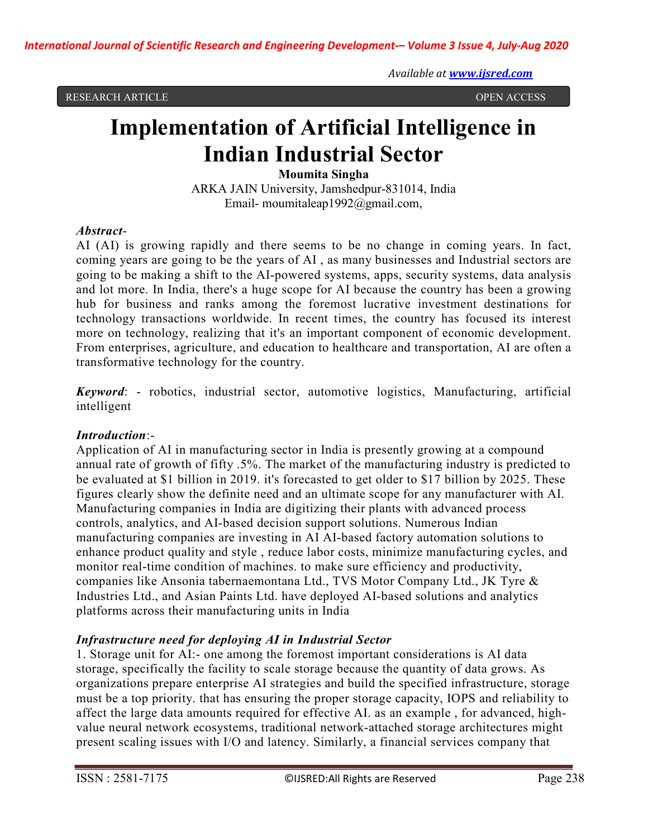RESEARCH ARTICLE OPEN ACCESS

# Implementation of Artificial Intelligence in Indian Industrial Sector

#### Moumita Singha

ARKA JAIN University, Jamshedpur-831014, India Email- moumitaleap1992@gmail.com,

#### Abstract-

AI (AI) is growing rapidly and there seems to be no change in coming years. In fact, coming years are going to be the years of AI , as many businesses and Industrial sectors are going to be making a shift to the AI-powered systems, apps, security systems, data analysis and lot more. In India, there's a huge scope for AI because the country has been a growing hub for business and ranks among the foremost lucrative investment destinations for technology transactions worldwide. In recent times, the country has focused its interest more on technology, realizing that it's an important component of economic development. From enterprises, agriculture, and education to healthcare and transportation, AI are often a transformative technology for the country.

Keyword: - robotics, industrial sector, automotive logistics, Manufacturing, artificial intelligent

## Introduction:-

Application of AI in manufacturing sector in India is presently growing at a compound annual rate of growth of fifty .5%. The market of the manufacturing industry is predicted to be evaluated at \$1 billion in 2019. it's forecasted to get older to \$17 billion by 2025. These figures clearly show the definite need and an ultimate scope for any manufacturer with AI. Manufacturing companies in India are digitizing their plants with advanced process controls, analytics, and AI-based decision support solutions. Numerous Indian manufacturing companies are investing in AI AI-based factory automation solutions to enhance product quality and style , reduce labor costs, minimize manufacturing cycles, and monitor real-time condition of machines. to make sure efficiency and productivity, companies like Ansonia tabernaemontana Ltd., TVS Motor Company Ltd., JK Tyre & Industries Ltd., and Asian Paints Ltd. have deployed AI-based solutions and analytics platforms across their manufacturing units in India

## Infrastructure need for deploying AI in Industrial Sector

1. Storage unit for AI:- one among the foremost important considerations is AI data storage, specifically the facility to scale storage because the quantity of data grows. As organizations prepare enterprise AI strategies and build the specified infrastructure, storage must be a top priority. that has ensuring the proper storage capacity, IOPS and reliability to affect the large data amounts required for effective AI. as an example , for advanced, highvalue neural network ecosystems, traditional network-attached storage architectures might present scaling issues with I/O and latency. Similarly, a financial services company that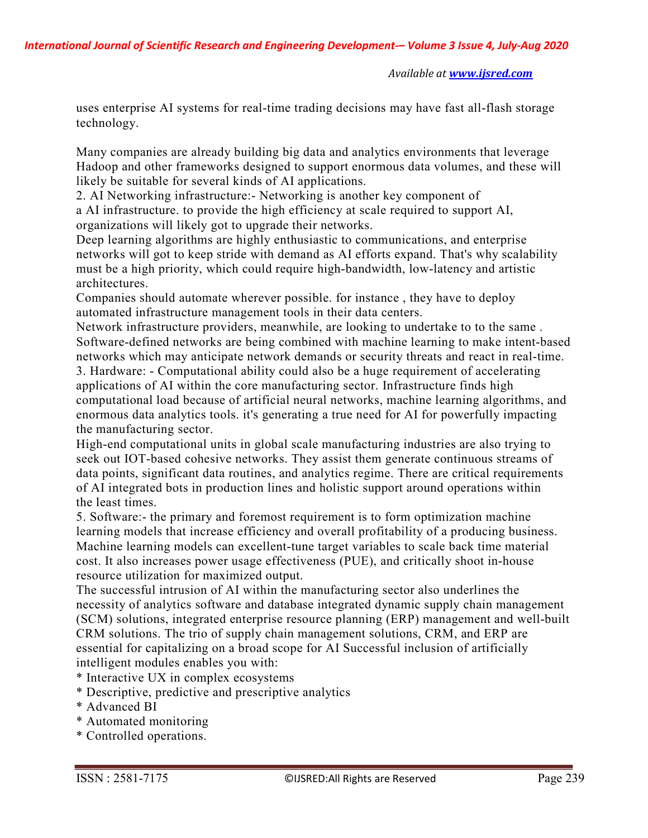uses enterprise AI systems for real-time trading decisions may have fast all-flash storage technology.

Many companies are already building big data and analytics environments that leverage Hadoop and other frameworks designed to support enormous data volumes, and these will likely be suitable for several kinds of AI applications.

2. AI Networking infrastructure:- Networking is another key component of a AI infrastructure. to provide the high efficiency at scale required to support AI, organizations will likely got to upgrade their networks.

Deep learning algorithms are highly enthusiastic to communications, and enterprise networks will got to keep stride with demand as AI efforts expand. That's why scalability must be a high priority, which could require high-bandwidth, low-latency and artistic architectures.

Companies should automate wherever possible. for instance , they have to deploy automated infrastructure management tools in their data centers.

Network infrastructure providers, meanwhile, are looking to undertake to to the same . Software-defined networks are being combined with machine learning to make intent-based networks which may anticipate network demands or security threats and react in real-time.

3. Hardware: - Computational ability could also be a huge requirement of accelerating applications of AI within the core manufacturing sector. Infrastructure finds high computational load because of artificial neural networks, machine learning algorithms, and enormous data analytics tools. it's generating a true need for AI for powerfully impacting the manufacturing sector.

High-end computational units in global scale manufacturing industries are also trying to seek out IOT-based cohesive networks. They assist them generate continuous streams of data points, significant data routines, and analytics regime. There are critical requirements of AI integrated bots in production lines and holistic support around operations within the least times.

5. Software:- the primary and foremost requirement is to form optimization machine learning models that increase efficiency and overall profitability of a producing business. Machine learning models can excellent-tune target variables to scale back time material cost. It also increases power usage effectiveness (PUE), and critically shoot in-house resource utilization for maximized output.

The successful intrusion of AI within the manufacturing sector also underlines the necessity of analytics software and database integrated dynamic supply chain management (SCM) solutions, integrated enterprise resource planning (ERP) management and well-built CRM solutions. The trio of supply chain management solutions, CRM, and ERP are essential for capitalizing on a broad scope for AI Successful inclusion of artificially intelligent modules enables you with:

- \* Interactive UX in complex ecosystems
- \* Descriptive, predictive and prescriptive analytics
- \* Advanced BI
- \* Automated monitoring
- \* Controlled operations.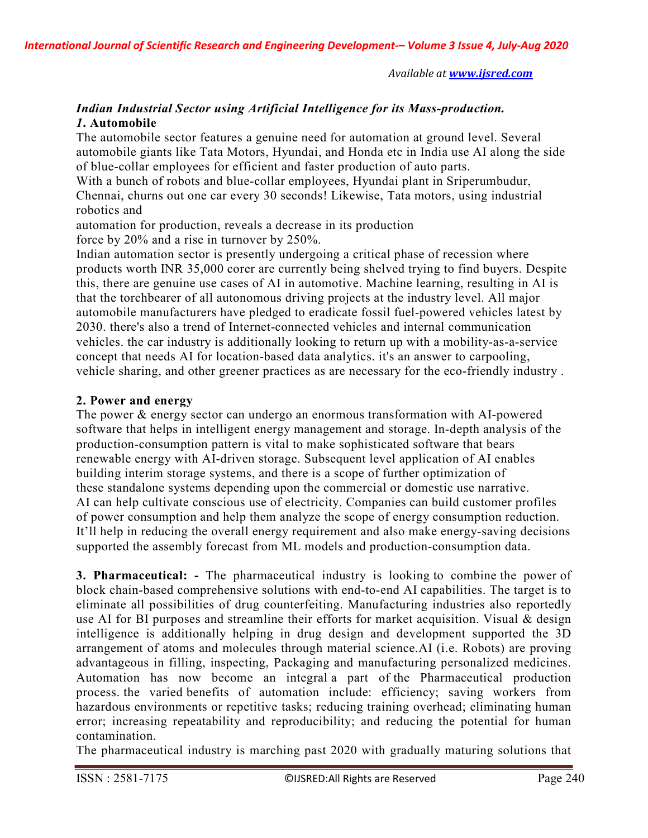# Indian Industrial Sector using Artificial Intelligence for its Mass-production. 1. Automobile

The automobile sector features a genuine need for automation at ground level. Several automobile giants like Tata Motors, Hyundai, and Honda etc in India use AI along the side of blue-collar employees for efficient and faster production of auto parts.

With a bunch of robots and blue-collar employees, Hyundai plant in Sriperumbudur, Chennai, churns out one car every 30 seconds! Likewise, Tata motors, using industrial robotics and

automation for production, reveals a decrease in its production force by 20% and a rise in turnover by 250%.

Indian automation sector is presently undergoing a critical phase of recession where products worth INR 35,000 corer are currently being shelved trying to find buyers. Despite this, there are genuine use cases of AI in automotive. Machine learning, resulting in AI is that the torchbearer of all autonomous driving projects at the industry level. All major automobile manufacturers have pledged to eradicate fossil fuel-powered vehicles latest by 2030. there's also a trend of Internet-connected vehicles and internal communication vehicles. the car industry is additionally looking to return up with a mobility-as-a-service concept that needs AI for location-based data analytics. it's an answer to carpooling, vehicle sharing, and other greener practices as are necessary for the eco-friendly industry .

#### 2. Power and energy

The power & energy sector can undergo an enormous transformation with AI-powered software that helps in intelligent energy management and storage. In-depth analysis of the production-consumption pattern is vital to make sophisticated software that bears renewable energy with AI-driven storage. Subsequent level application of AI enables building interim storage systems, and there is a scope of further optimization of these standalone systems depending upon the commercial or domestic use narrative. AI can help cultivate conscious use of electricity. Companies can build customer profiles of power consumption and help them analyze the scope of energy consumption reduction. It'll help in reducing the overall energy requirement and also make energy-saving decisions supported the assembly forecast from ML models and production-consumption data.

3. Pharmaceutical: - The pharmaceutical industry is looking to combine the power of block chain-based comprehensive solutions with end-to-end AI capabilities. The target is to eliminate all possibilities of drug counterfeiting. Manufacturing industries also reportedly use AI for BI purposes and streamline their efforts for market acquisition. Visual & design intelligence is additionally helping in drug design and development supported the 3D arrangement of atoms and molecules through material science.AI (i.e. Robots) are proving advantageous in filling, inspecting, Packaging and manufacturing personalized medicines. Automation has now become an integral a part of the Pharmaceutical production process. the varied benefits of automation include: efficiency; saving workers from hazardous environments or repetitive tasks; reducing training overhead; eliminating human error; increasing repeatability and reproducibility; and reducing the potential for human contamination.

The pharmaceutical industry is marching past 2020 with gradually maturing solutions that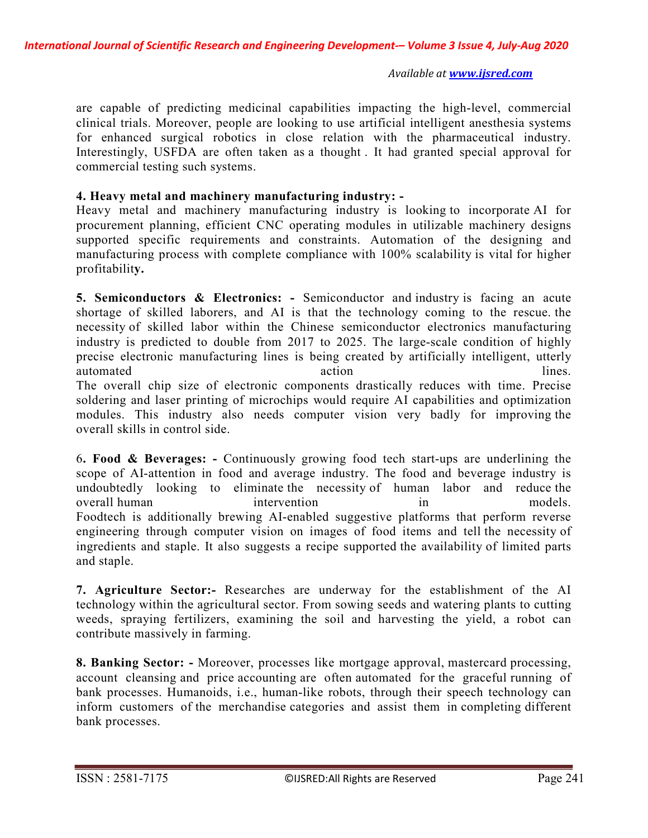are capable of predicting medicinal capabilities impacting the high-level, commercial clinical trials. Moreover, people are looking to use artificial intelligent anesthesia systems for enhanced surgical robotics in close relation with the pharmaceutical industry. Interestingly, USFDA are often taken as a thought . It had granted special approval for commercial testing such systems.

## 4. Heavy metal and machinery manufacturing industry: -

Heavy metal and machinery manufacturing industry is looking to incorporate AI for procurement planning, efficient CNC operating modules in utilizable machinery designs supported specific requirements and constraints. Automation of the designing and manufacturing process with complete compliance with 100% scalability is vital for higher profitability.

5. Semiconductors & Electronics: - Semiconductor and industry is facing an acute shortage of skilled laborers, and AI is that the technology coming to the rescue. the necessity of skilled labor within the Chinese semiconductor electronics manufacturing industry is predicted to double from 2017 to 2025. The large-scale condition of highly precise electronic manufacturing lines is being created by artificially intelligent, utterly automated lines. The overall chip size of electronic components drastically reduces with time. Precise soldering and laser printing of microchips would require AI capabilities and optimization modules. This industry also needs computer vision very badly for improving the overall skills in control side.

6. Food & Beverages: - Continuously growing food tech start-ups are underlining the scope of AI-attention in food and average industry. The food and beverage industry is undoubtedly looking to eliminate the necessity of human labor and reduce the overall human intervention in in models. Foodtech is additionally brewing AI-enabled suggestive platforms that perform reverse engineering through computer vision on images of food items and tell the necessity of ingredients and staple. It also suggests a recipe supported the availability of limited parts and staple.

7. Agriculture Sector:- Researches are underway for the establishment of the AI technology within the agricultural sector. From sowing seeds and watering plants to cutting weeds, spraying fertilizers, examining the soil and harvesting the yield, a robot can contribute massively in farming.

8. Banking Sector: - Moreover, processes like mortgage approval, mastercard processing, account cleansing and price accounting are often automated for the graceful running of bank processes. Humanoids, i.e., human-like robots, through their speech technology can inform customers of the merchandise categories and assist them in completing different bank processes.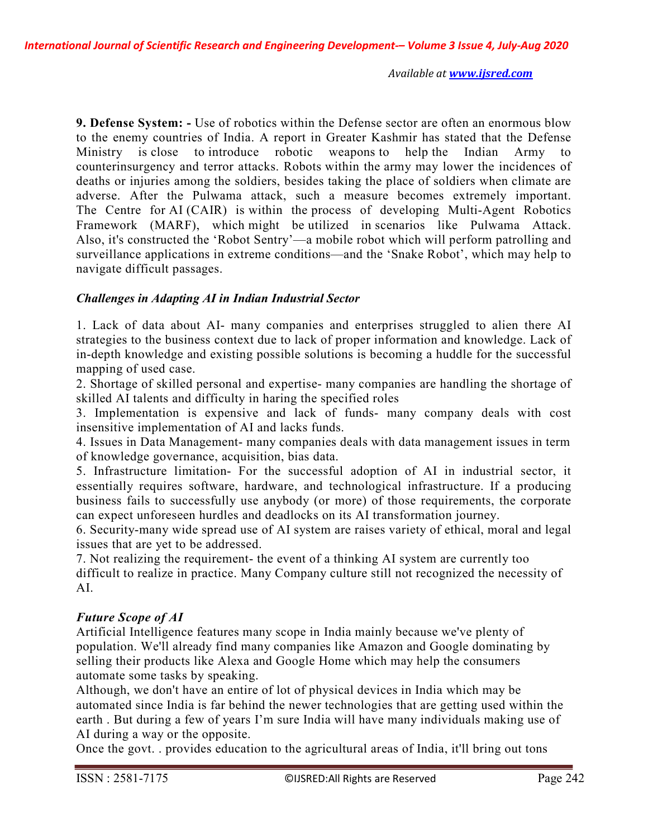9. Defense System: - Use of robotics within the Defense sector are often an enormous blow to the enemy countries of India. A report in Greater Kashmir has stated that the Defense Ministry is close to introduce robotic weapons to help the Indian Army to counterinsurgency and terror attacks. Robots within the army may lower the incidences of deaths or injuries among the soldiers, besides taking the place of soldiers when climate are adverse. After the Pulwama attack, such a measure becomes extremely important. The Centre for AI (CAIR) is within the process of developing Multi-Agent Robotics Framework (MARF), which might be utilized in scenarios like Pulwama Attack. Also, it's constructed the 'Robot Sentry'—a mobile robot which will perform patrolling and surveillance applications in extreme conditions—and the 'Snake Robot', which may help to navigate difficult passages.

## Challenges in Adapting AI in Indian Industrial Sector

1. Lack of data about AI- many companies and enterprises struggled to alien there AI strategies to the business context due to lack of proper information and knowledge. Lack of in-depth knowledge and existing possible solutions is becoming a huddle for the successful mapping of used case.

2. Shortage of skilled personal and expertise- many companies are handling the shortage of skilled AI talents and difficulty in haring the specified roles

3. Implementation is expensive and lack of funds- many company deals with cost insensitive implementation of AI and lacks funds.

4. Issues in Data Management- many companies deals with data management issues in term of knowledge governance, acquisition, bias data.

5. Infrastructure limitation- For the successful adoption of AI in industrial sector, it essentially requires software, hardware, and technological infrastructure. If a producing business fails to successfully use anybody (or more) of those requirements, the corporate can expect unforeseen hurdles and deadlocks on its AI transformation journey.

6. Security-many wide spread use of AI system are raises variety of ethical, moral and legal issues that are yet to be addressed.

7. Not realizing the requirement- the event of a thinking AI system are currently too difficult to realize in practice. Many Company culture still not recognized the necessity of AI.

## Future Scope of AI

Artificial Intelligence features many scope in India mainly because we've plenty of population. We'll already find many companies like Amazon and Google dominating by selling their products like Alexa and Google Home which may help the consumers automate some tasks by speaking.

Although, we don't have an entire of lot of physical devices in India which may be automated since India is far behind the newer technologies that are getting used within the earth . But during a few of years I'm sure India will have many individuals making use of AI during a way or the opposite.

Once the govt. . provides education to the agricultural areas of India, it'll bring out tons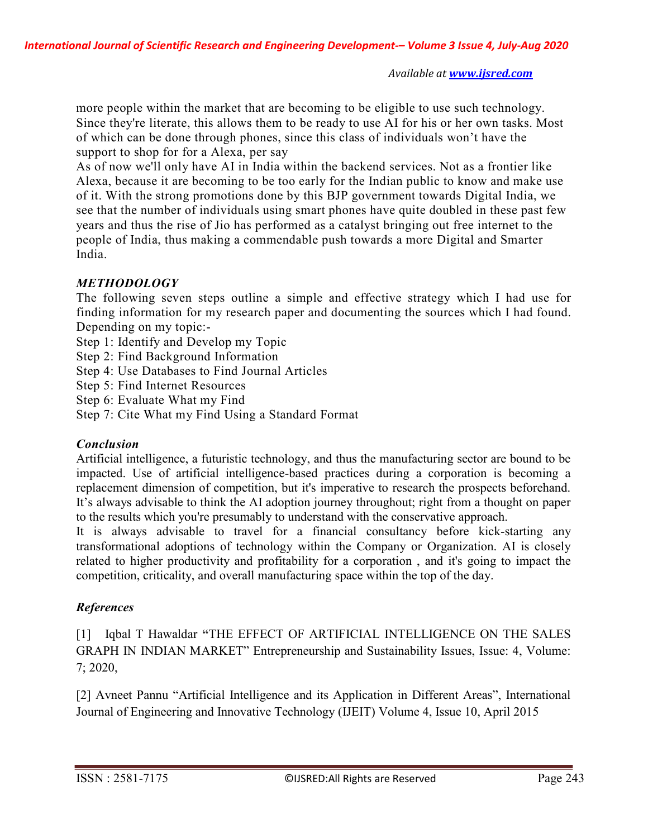more people within the market that are becoming to be eligible to use such technology. Since they're literate, this allows them to be ready to use AI for his or her own tasks. Most of which can be done through phones, since this class of individuals won't have the support to shop for for a Alexa, per say

As of now we'll only have AI in India within the backend services. Not as a frontier like Alexa, because it are becoming to be too early for the Indian public to know and make use of it. With the strong promotions done by this BJP government towards Digital India, we see that the number of individuals using smart phones have quite doubled in these past few years and thus the rise of Jio has performed as a catalyst bringing out free internet to the people of India, thus making a commendable push towards a more Digital and Smarter India.

# **METHODOLOGY**

The following seven steps outline a simple and effective strategy which I had use for finding information for my research paper and documenting the sources which I had found. Depending on my topic:-

Step 1: Identify and Develop my Topic

Step 2: Find Background Information

Step 4: Use Databases to Find Journal Articles

Step 5: Find Internet Resources

Step 6: Evaluate What my Find

Step 7: Cite What my Find Using a Standard Format

## Conclusion

Artificial intelligence, a futuristic technology, and thus the manufacturing sector are bound to be impacted. Use of artificial intelligence-based practices during a corporation is becoming a replacement dimension of competition, but it's imperative to research the prospects beforehand. It's always advisable to think the AI adoption journey throughout; right from a thought on paper to the results which you're presumably to understand with the conservative approach.

It is always advisable to travel for a financial consultancy before kick-starting any transformational adoptions of technology within the Company or Organization. AI is closely related to higher productivity and profitability for a corporation , and it's going to impact the competition, criticality, and overall manufacturing space within the top of the day.

## **References**

[1] Iqbal T Hawaldar "THE EFFECT OF ARTIFICIAL INTELLIGENCE ON THE SALES GRAPH IN INDIAN MARKET" Entrepreneurship and Sustainability Issues, Issue: 4, Volume: 7; 2020,

[2] Avneet Pannu "Artificial Intelligence and its Application in Different Areas", International Journal of Engineering and Innovative Technology (IJEIT) Volume 4, Issue 10, April 2015